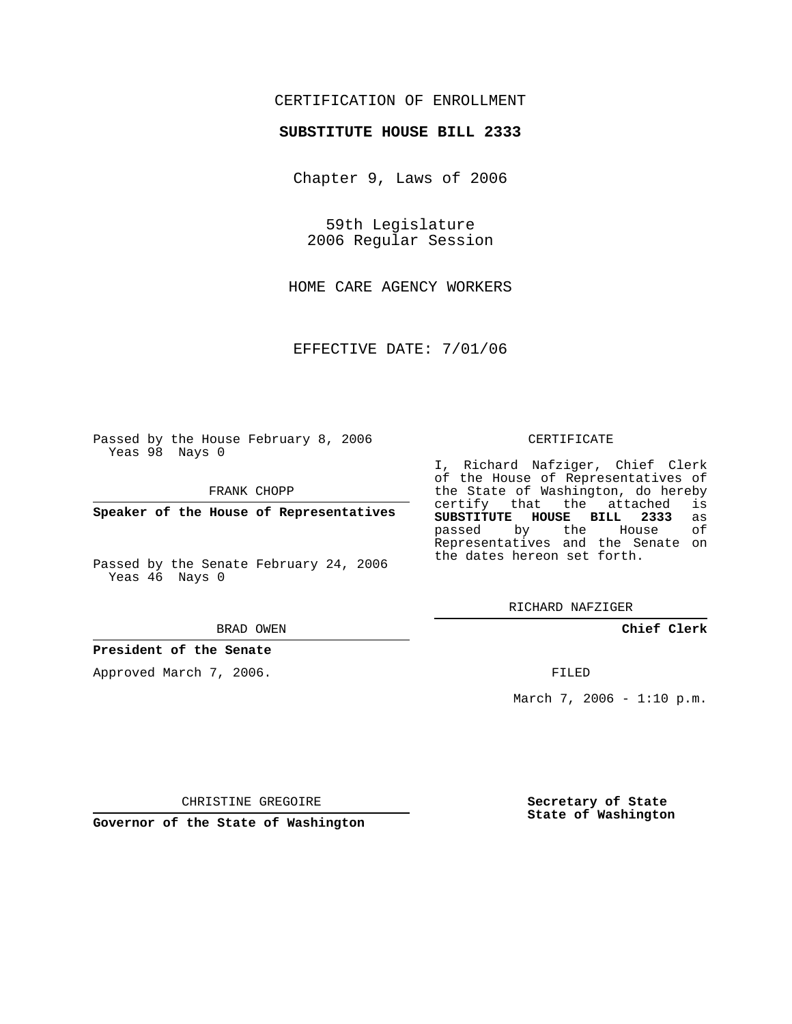## CERTIFICATION OF ENROLLMENT

### **SUBSTITUTE HOUSE BILL 2333**

Chapter 9, Laws of 2006

59th Legislature 2006 Regular Session

HOME CARE AGENCY WORKERS

EFFECTIVE DATE: 7/01/06

Passed by the House February 8, 2006 Yeas 98 Nays 0

FRANK CHOPP

**Speaker of the House of Representatives**

Passed by the Senate February 24, 2006 Yeas 46 Nays 0

#### BRAD OWEN

### **President of the Senate**

Approved March 7, 2006.

#### CERTIFICATE

I, Richard Nafziger, Chief Clerk of the House of Representatives of the State of Washington, do hereby<br>certify that the attached is certify that the attached **SUBSTITUTE HOUSE BILL 2333** as passed by the House Representatives and the Senate on the dates hereon set forth.

RICHARD NAFZIGER

**Chief Clerk**

FILED

March 7, 2006 -  $1:10 \text{ p.m.}$ 

CHRISTINE GREGOIRE

**Governor of the State of Washington**

**Secretary of State State of Washington**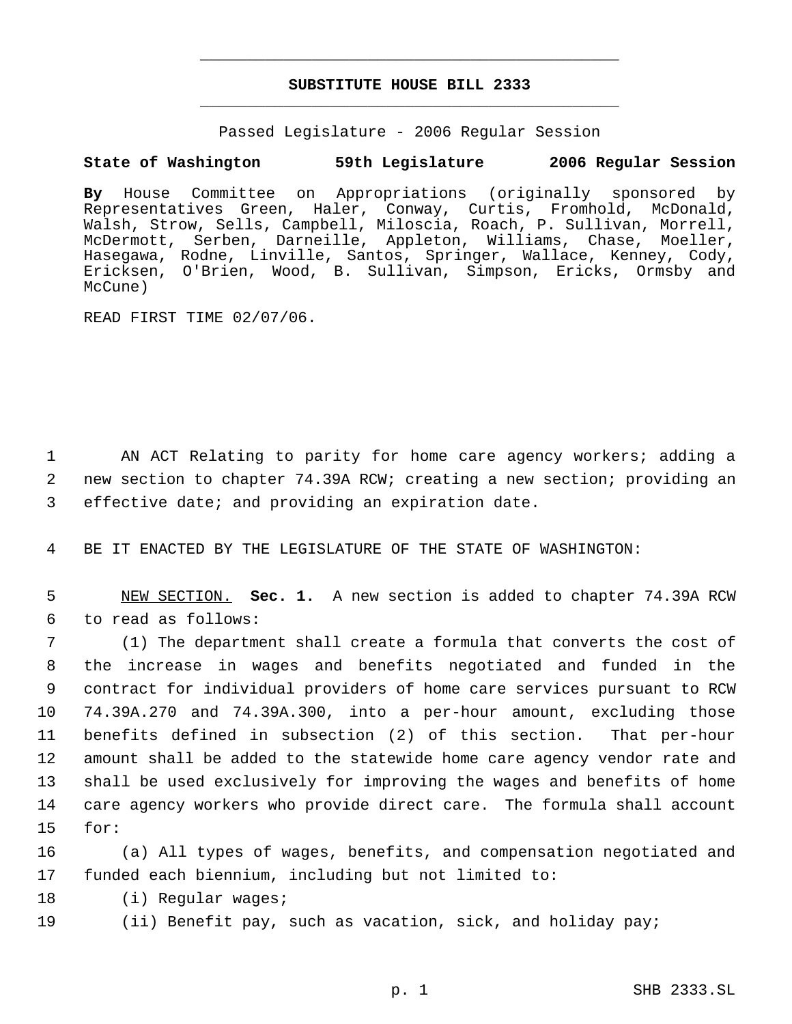# **SUBSTITUTE HOUSE BILL 2333** \_\_\_\_\_\_\_\_\_\_\_\_\_\_\_\_\_\_\_\_\_\_\_\_\_\_\_\_\_\_\_\_\_\_\_\_\_\_\_\_\_\_\_\_\_

\_\_\_\_\_\_\_\_\_\_\_\_\_\_\_\_\_\_\_\_\_\_\_\_\_\_\_\_\_\_\_\_\_\_\_\_\_\_\_\_\_\_\_\_\_

Passed Legislature - 2006 Regular Session

# **State of Washington 59th Legislature 2006 Regular Session**

**By** House Committee on Appropriations (originally sponsored by Representatives Green, Haler, Conway, Curtis, Fromhold, McDonald, Walsh, Strow, Sells, Campbell, Miloscia, Roach, P. Sullivan, Morrell, McDermott, Serben, Darneille, Appleton, Williams, Chase, Moeller, Hasegawa, Rodne, Linville, Santos, Springer, Wallace, Kenney, Cody, Ericksen, O'Brien, Wood, B. Sullivan, Simpson, Ericks, Ormsby and McCune)

READ FIRST TIME 02/07/06.

 1 AN ACT Relating to parity for home care agency workers; adding a 2 new section to chapter 74.39A RCW; creating a new section; providing an 3 effective date; and providing an expiration date.

4 BE IT ENACTED BY THE LEGISLATURE OF THE STATE OF WASHINGTON:

 5 NEW SECTION. **Sec. 1.** A new section is added to chapter 74.39A RCW 6 to read as follows:

 (1) The department shall create a formula that converts the cost of the increase in wages and benefits negotiated and funded in the contract for individual providers of home care services pursuant to RCW 74.39A.270 and 74.39A.300, into a per-hour amount, excluding those benefits defined in subsection (2) of this section. That per-hour amount shall be added to the statewide home care agency vendor rate and shall be used exclusively for improving the wages and benefits of home care agency workers who provide direct care. The formula shall account 15 for:

16 (a) All types of wages, benefits, and compensation negotiated and 17 funded each biennium, including but not limited to:

18 (i) Regular wages;

19 (ii) Benefit pay, such as vacation, sick, and holiday pay;